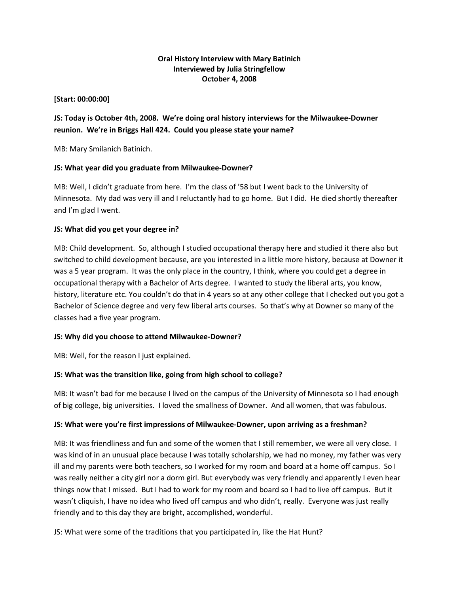### **Oral History Interview with Mary Batinich Interviewed by Julia Stringfellow October 4, 2008**

### **[Start: 00:00:00]**

# **JS: Today is October 4th, 2008. We're doing oral history interviews for the Milwaukee-Downer reunion. We're in Briggs Hall 424. Could you please state your name?**

MB: Mary Smilanich Batinich.

### **JS: What year did you graduate from Milwaukee-Downer?**

MB: Well, I didn't graduate from here. I'm the class of '58 but I went back to the University of Minnesota. My dad was very ill and I reluctantly had to go home. But I did. He died shortly thereafter and I'm glad I went.

### **JS: What did you get your degree in?**

MB: Child development. So, although I studied occupational therapy here and studied it there also but switched to child development because, are you interested in a little more history, because at Downer it was a 5 year program. It was the only place in the country, I think, where you could get a degree in occupational therapy with a Bachelor of Arts degree. I wanted to study the liberal arts, you know, history, literature etc. You couldn't do that in 4 years so at any other college that I checked out you got a Bachelor of Science degree and very few liberal arts courses. So that's why at Downer so many of the classes had a five year program.

### **JS: Why did you choose to attend Milwaukee-Downer?**

MB: Well, for the reason I just explained.

## **JS: What was the transition like, going from high school to college?**

MB: It wasn't bad for me because I lived on the campus of the University of Minnesota so I had enough of big college, big universities. I loved the smallness of Downer. And all women, that was fabulous.

### **JS: What were you're first impressions of Milwaukee-Downer, upon arriving as a freshman?**

MB: It was friendliness and fun and some of the women that I still remember, we were all very close. I was kind of in an unusual place because I was totally scholarship, we had no money, my father was very ill and my parents were both teachers, so I worked for my room and board at a home off campus. So I was really neither a city girl nor a dorm girl. But everybody was very friendly and apparently I even hear things now that I missed. But I had to work for my room and board so I had to live off campus. But it wasn't cliquish, I have no idea who lived off campus and who didn't, really. Everyone was just really friendly and to this day they are bright, accomplished, wonderful.

JS: What were some of the traditions that you participated in, like the Hat Hunt?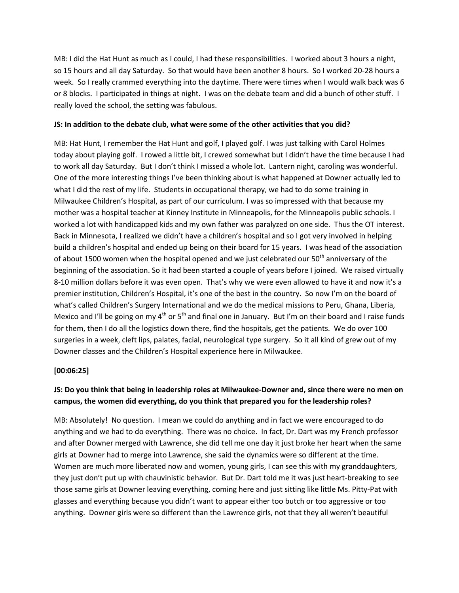MB: I did the Hat Hunt as much as I could, I had these responsibilities. I worked about 3 hours a night, so 15 hours and all day Saturday. So that would have been another 8 hours. So I worked 20-28 hours a week. So I really crammed everything into the daytime. There were times when I would walk back was 6 or 8 blocks. I participated in things at night. I was on the debate team and did a bunch of other stuff. I really loved the school, the setting was fabulous.

### **JS: In addition to the debate club, what were some of the other activities that you did?**

MB: Hat Hunt, I remember the Hat Hunt and golf, I played golf. I was just talking with Carol Holmes today about playing golf. I rowed a little bit, I crewed somewhat but I didn't have the time because I had to work all day Saturday. But I don't think I missed a whole lot. Lantern night, caroling was wonderful. One of the more interesting things I've been thinking about is what happened at Downer actually led to what I did the rest of my life. Students in occupational therapy, we had to do some training in Milwaukee Children's Hospital, as part of our curriculum. I was so impressed with that because my mother was a hospital teacher at Kinney Institute in Minneapolis, for the Minneapolis public schools. I worked a lot with handicapped kids and my own father was paralyzed on one side. Thus the OT interest. Back in Minnesota, I realized we didn't have a children's hospital and so I got very involved in helping build a children's hospital and ended up being on their board for 15 years. I was head of the association of about 1500 women when the hospital opened and we just celebrated our  $50<sup>th</sup>$  anniversary of the beginning of the association. So it had been started a couple of years before I joined. We raised virtually 8-10 million dollars before it was even open. That's why we were even allowed to have it and now it's a premier institution, Children's Hospital, it's one of the best in the country. So now I'm on the board of what's called Children's Surgery International and we do the medical missions to Peru, Ghana, Liberia, Mexico and I'll be going on my  $4<sup>th</sup>$  or  $5<sup>th</sup>$  and final one in January. But I'm on their board and I raise funds for them, then I do all the logistics down there, find the hospitals, get the patients. We do over 100 surgeries in a week, cleft lips, palates, facial, neurological type surgery. So it all kind of grew out of my Downer classes and the Children's Hospital experience here in Milwaukee.

## **[00:06:25]**

# **JS: Do you think that being in leadership roles at Milwaukee-Downer and, since there were no men on campus, the women did everything, do you think that prepared you for the leadership roles?**

MB: Absolutely! No question. I mean we could do anything and in fact we were encouraged to do anything and we had to do everything. There was no choice. In fact, Dr. Dart was my French professor and after Downer merged with Lawrence, she did tell me one day it just broke her heart when the same girls at Downer had to merge into Lawrence, she said the dynamics were so different at the time. Women are much more liberated now and women, young girls, I can see this with my granddaughters, they just don't put up with chauvinistic behavior. But Dr. Dart told me it was just heart-breaking to see those same girls at Downer leaving everything, coming here and just sitting like little Ms. Pitty-Pat with glasses and everything because you didn't want to appear either too butch or too aggressive or too anything. Downer girls were so different than the Lawrence girls, not that they all weren't beautiful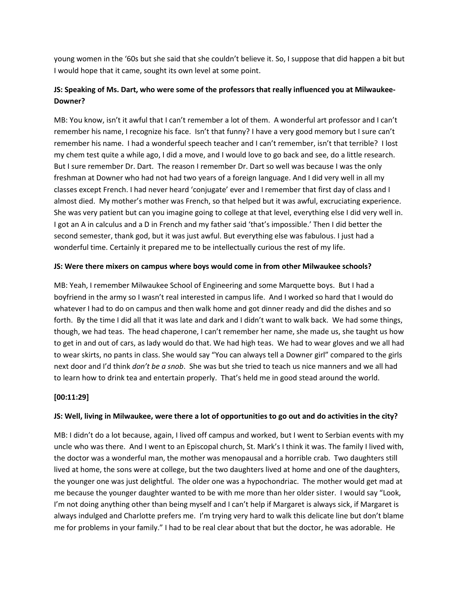young women in the '60s but she said that she couldn't believe it. So, I suppose that did happen a bit but I would hope that it came, sought its own level at some point.

# **JS: Speaking of Ms. Dart, who were some of the professors that really influenced you at Milwaukee-Downer?**

MB: You know, isn't it awful that I can't remember a lot of them. A wonderful art professor and I can't remember his name, I recognize his face. Isn't that funny? I have a very good memory but I sure can't remember his name. I had a wonderful speech teacher and I can't remember, isn't that terrible? I lost my chem test quite a while ago, I did a move, and I would love to go back and see, do a little research. But I sure remember Dr. Dart. The reason I remember Dr. Dart so well was because I was the only freshman at Downer who had not had two years of a foreign language. And I did very well in all my classes except French. I had never heard 'conjugate' ever and I remember that first day of class and I almost died. My mother's mother was French, so that helped but it was awful, excruciating experience. She was very patient but can you imagine going to college at that level, everything else I did very well in. I got an A in calculus and a D in French and my father said 'that's impossible.' Then I did better the second semester, thank god, but it was just awful. But everything else was fabulous. I just had a wonderful time. Certainly it prepared me to be intellectually curious the rest of my life.

### **JS: Were there mixers on campus where boys would come in from other Milwaukee schools?**

MB: Yeah, I remember Milwaukee School of Engineering and some Marquette boys. But I had a boyfriend in the army so I wasn't real interested in campus life. And I worked so hard that I would do whatever I had to do on campus and then walk home and got dinner ready and did the dishes and so forth. By the time I did all that it was late and dark and I didn't want to walk back. We had some things, though, we had teas. The head chaperone, I can't remember her name, she made us, she taught us how to get in and out of cars, as lady would do that. We had high teas. We had to wear gloves and we all had to wear skirts, no pants in class. She would say "You can always tell a Downer girl" compared to the girls next door and I'd think *don't be a snob*. She was but she tried to teach us nice manners and we all had to learn how to drink tea and entertain properly. That's held me in good stead around the world.

### **[00:11:29]**

### **JS: Well, living in Milwaukee, were there a lot of opportunities to go out and do activities in the city?**

MB: I didn't do a lot because, again, I lived off campus and worked, but I went to Serbian events with my uncle who was there. And I went to an Episcopal church, St. Mark's I think it was. The family I lived with, the doctor was a wonderful man, the mother was menopausal and a horrible crab. Two daughters still lived at home, the sons were at college, but the two daughters lived at home and one of the daughters, the younger one was just delightful. The older one was a hypochondriac. The mother would get mad at me because the younger daughter wanted to be with me more than her older sister. I would say "Look, I'm not doing anything other than being myself and I can't help if Margaret is always sick, if Margaret is always indulged and Charlotte prefers me. I'm trying very hard to walk this delicate line but don't blame me for problems in your family." I had to be real clear about that but the doctor, he was adorable. He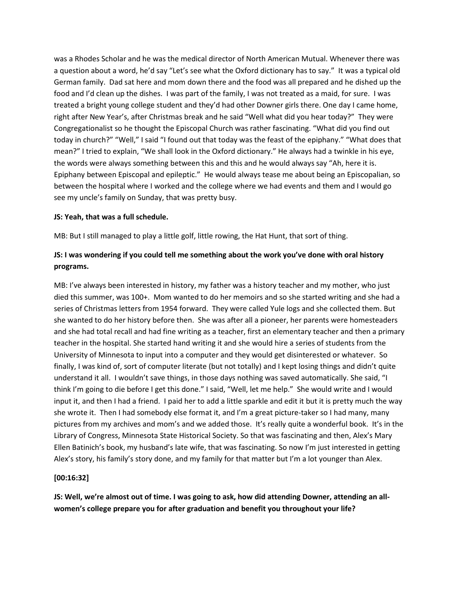was a Rhodes Scholar and he was the medical director of North American Mutual. Whenever there was a question about a word, he'd say "Let's see what the Oxford dictionary has to say." It was a typical old German family. Dad sat here and mom down there and the food was all prepared and he dished up the food and I'd clean up the dishes. I was part of the family, I was not treated as a maid, for sure. I was treated a bright young college student and they'd had other Downer girls there. One day I came home, right after New Year's, after Christmas break and he said "Well what did you hear today?" They were Congregationalist so he thought the Episcopal Church was rather fascinating. "What did you find out today in church?" "Well," I said "I found out that today was the feast of the epiphany." "What does that mean?" I tried to explain, "We shall look in the Oxford dictionary." He always had a twinkle in his eye, the words were always something between this and this and he would always say "Ah, here it is. Epiphany between Episcopal and epileptic." He would always tease me about being an Episcopalian, so between the hospital where I worked and the college where we had events and them and I would go see my uncle's family on Sunday, that was pretty busy.

#### **JS: Yeah, that was a full schedule.**

MB: But I still managed to play a little golf, little rowing, the Hat Hunt, that sort of thing.

# **JS: I was wondering if you could tell me something about the work you've done with oral history programs.**

MB: I've always been interested in history, my father was a history teacher and my mother, who just died this summer, was 100+. Mom wanted to do her memoirs and so she started writing and she had a series of Christmas letters from 1954 forward. They were called Yule logs and she collected them. But she wanted to do her history before then. She was after all a pioneer, her parents were homesteaders and she had total recall and had fine writing as a teacher, first an elementary teacher and then a primary teacher in the hospital. She started hand writing it and she would hire a series of students from the University of Minnesota to input into a computer and they would get disinterested or whatever. So finally, I was kind of, sort of computer literate (but not totally) and I kept losing things and didn't quite understand it all. I wouldn't save things, in those days nothing was saved automatically. She said, "I think I'm going to die before I get this done." I said, "Well, let me help." She would write and I would input it, and then I had a friend. I paid her to add a little sparkle and edit it but it is pretty much the way she wrote it. Then I had somebody else format it, and I'm a great picture-taker so I had many, many pictures from my archives and mom's and we added those. It's really quite a wonderful book. It's in the Library of Congress, Minnesota State Historical Society. So that was fascinating and then, Alex's Mary Ellen Batinich's book, my husband's late wife, that was fascinating. So now I'm just interested in getting Alex's story, his family's story done, and my family for that matter but I'm a lot younger than Alex.

### **[00:16:32]**

**JS: Well, we're almost out of time. I was going to ask, how did attending Downer, attending an allwomen's college prepare you for after graduation and benefit you throughout your life?**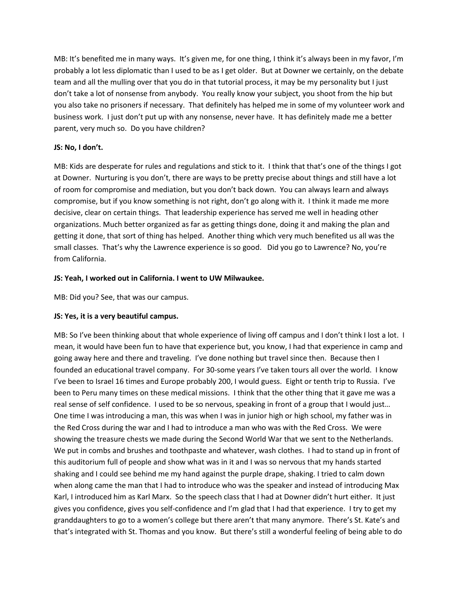MB: It's benefited me in many ways. It's given me, for one thing, I think it's always been in my favor, I'm probably a lot less diplomatic than I used to be as I get older. But at Downer we certainly, on the debate team and all the mulling over that you do in that tutorial process, it may be my personality but I just don't take a lot of nonsense from anybody. You really know your subject, you shoot from the hip but you also take no prisoners if necessary. That definitely has helped me in some of my volunteer work and business work. I just don't put up with any nonsense, never have. It has definitely made me a better parent, very much so. Do you have children?

### **JS: No, I don't.**

MB: Kids are desperate for rules and regulations and stick to it. I think that that's one of the things I got at Downer. Nurturing is you don't, there are ways to be pretty precise about things and still have a lot of room for compromise and mediation, but you don't back down. You can always learn and always compromise, but if you know something is not right, don't go along with it. I think it made me more decisive, clear on certain things. That leadership experience has served me well in heading other organizations. Much better organized as far as getting things done, doing it and making the plan and getting it done, that sort of thing has helped. Another thing which very much benefited us all was the small classes. That's why the Lawrence experience is so good. Did you go to Lawrence? No, you're from California.

## **JS: Yeah, I worked out in California. I went to UW Milwaukee.**

MB: Did you? See, that was our campus.

## **JS: Yes, it is a very beautiful campus.**

MB: So I've been thinking about that whole experience of living off campus and I don't think I lost a lot. I mean, it would have been fun to have that experience but, you know, I had that experience in camp and going away here and there and traveling. I've done nothing but travel since then. Because then I founded an educational travel company. For 30-some years I've taken tours all over the world. I know I've been to Israel 16 times and Europe probably 200, I would guess. Eight or tenth trip to Russia. I've been to Peru many times on these medical missions. I think that the other thing that it gave me was a real sense of self confidence. I used to be so nervous, speaking in front of a group that I would just… One time I was introducing a man, this was when I was in junior high or high school, my father was in the Red Cross during the war and I had to introduce a man who was with the Red Cross. We were showing the treasure chests we made during the Second World War that we sent to the Netherlands. We put in combs and brushes and toothpaste and whatever, wash clothes. I had to stand up in front of this auditorium full of people and show what was in it and I was so nervous that my hands started shaking and I could see behind me my hand against the purple drape, shaking. I tried to calm down when along came the man that I had to introduce who was the speaker and instead of introducing Max Karl, I introduced him as Karl Marx. So the speech class that I had at Downer didn't hurt either. It just gives you confidence, gives you self-confidence and I'm glad that I had that experience. I try to get my granddaughters to go to a women's college but there aren't that many anymore. There's St. Kate's and that's integrated with St. Thomas and you know. But there's still a wonderful feeling of being able to do